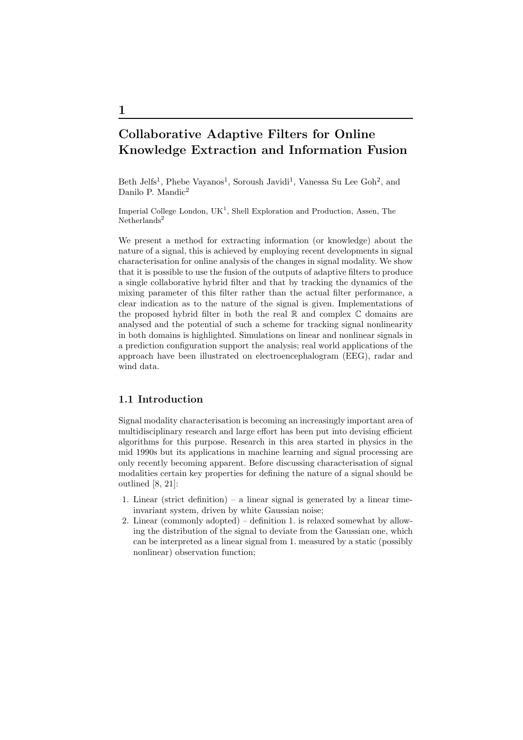# Collaborative Adaptive Filters for Online Knowledge Extraction and Information Fusion

Beth Jelfs<sup>1</sup>, Phebe Vayanos<sup>1</sup>, Soroush Javidi<sup>1</sup>, Vanessa Su Lee Goh<sup>2</sup>, and Danilo P. Mandic<sup>2</sup>

Imperial College London,  $UK<sup>1</sup>$ , Shell Exploration and Production, Assen, The  $Netherlands<sup>2</sup>$ 

We present a method for extracting information (or knowledge) about the nature of a signal, this is achieved by employing recent developments in signal characterisation for online analysis of the changes in signal modality. We show that it is possible to use the fusion of the outputs of adaptive filters to produce a single collaborative hybrid filter and that by tracking the dynamics of the mixing parameter of this filter rather than the actual filter performance, a clear indication as to the nature of the signal is given. Implementations of the proposed hybrid filter in both the real  $\mathbb R$  and complex  $\mathbb C$  domains are analysed and the potential of such a scheme for tracking signal nonlinearity in both domains is highlighted. Simulations on linear and nonlinear signals in a prediction configuration support the analysis; real world applications of the approach have been illustrated on electroencephalogram (EEG), radar and wind data.

## 1.1 Introduction

Signal modality characterisation is becoming an increasingly important area of multidisciplinary research and large effort has been put into devising efficient algorithms for this purpose. Research in this area started in physics in the mid 1990s but its applications in machine learning and signal processing are only recently becoming apparent. Before discussing characterisation of signal modalities certain key properties for defining the nature of a signal should be outlined [8, 21]:

- 1. Linear (strict definition) a linear signal is generated by a linear timeinvariant system, driven by white Gaussian noise;
- 2. Linear (commonly adopted) definition 1. is relaxed somewhat by allowing the distribution of the signal to deviate from the Gaussian one, which can be interpreted as a linear signal from 1. measured by a static (possibly nonlinear) observation function;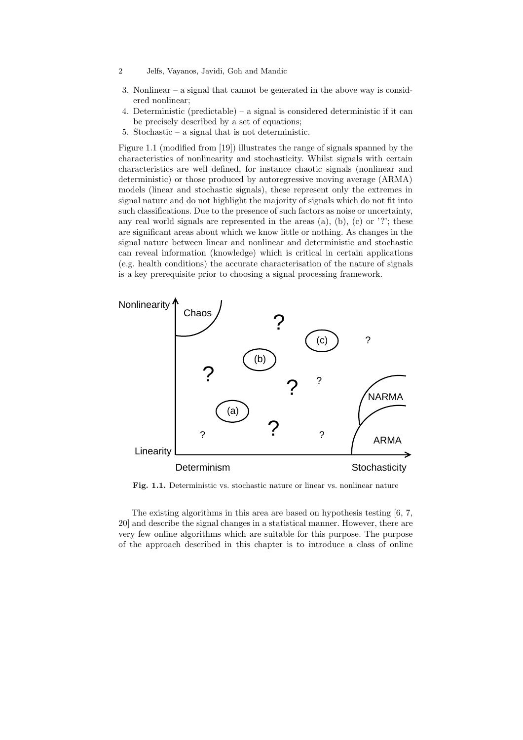- 2 Jelfs, Vayanos, Javidi, Goh and Mandic
- 3. Nonlinear a signal that cannot be generated in the above way is considered nonlinear;
- 4. Deterministic (predictable) a signal is considered deterministic if it can be precisely described by a set of equations;
- 5. Stochastic a signal that is not deterministic.

Figure 1.1 (modified from [19]) illustrates the range of signals spanned by the characteristics of nonlinearity and stochasticity. Whilst signals with certain characteristics are well defined, for instance chaotic signals (nonlinear and deterministic) or those produced by autoregressive moving average (ARMA) models (linear and stochastic signals), these represent only the extremes in signal nature and do not highlight the majority of signals which do not fit into such classifications. Due to the presence of such factors as noise or uncertainty, any real world signals are represented in the areas  $(a)$ ,  $(b)$ ,  $(c)$  or '?'; these are significant areas about which we know little or nothing. As changes in the signal nature between linear and nonlinear and deterministic and stochastic can reveal information (knowledge) which is critical in certain applications (e.g. health conditions) the accurate characterisation of the nature of signals is a key prerequisite prior to choosing a signal processing framework.



Fig. 1.1. Deterministic vs. stochastic nature or linear vs. nonlinear nature

The existing algorithms in this area are based on hypothesis testing [6, 7, 20] and describe the signal changes in a statistical manner. However, there are very few online algorithms which are suitable for this purpose. The purpose of the approach described in this chapter is to introduce a class of online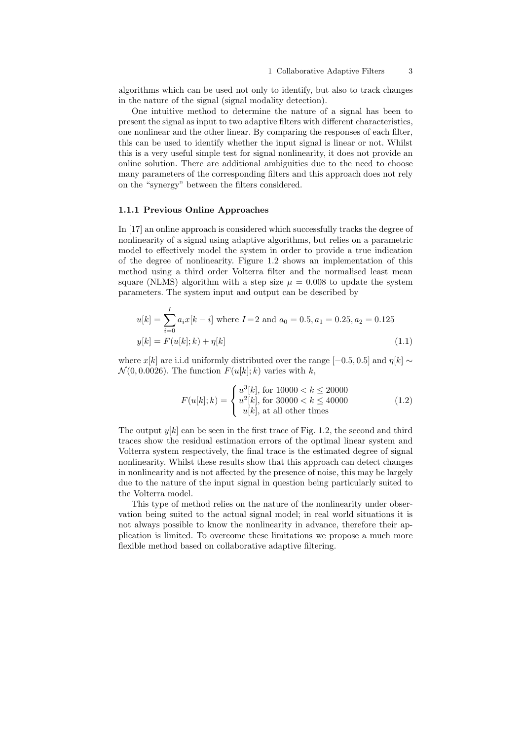algorithms which can be used not only to identify, but also to track changes in the nature of the signal (signal modality detection).

One intuitive method to determine the nature of a signal has been to present the signal as input to two adaptive filters with different characteristics, one nonlinear and the other linear. By comparing the responses of each filter, this can be used to identify whether the input signal is linear or not. Whilst this is a very useful simple test for signal nonlinearity, it does not provide an online solution. There are additional ambiguities due to the need to choose many parameters of the corresponding filters and this approach does not rely on the "synergy" between the filters considered.

#### 1.1.1 Previous Online Approaches

In [17] an online approach is considered which successfully tracks the degree of nonlinearity of a signal using adaptive algorithms, but relies on a parametric model to effectively model the system in order to provide a true indication of the degree of nonlinearity. Figure 1.2 shows an implementation of this method using a third order Volterra filter and the normalised least mean square (NLMS) algorithm with a step size  $\mu = 0.008$  to update the system parameters. The system input and output can be described by

$$
u[k] = \sum_{i=0}^{I} a_i x[k-i]
$$
 where  $I=2$  and  $a_0 = 0.5$ ,  $a_1 = 0.25$ ,  $a_2 = 0.125$   

$$
y[k] = F(u[k];k) + \eta[k]
$$
 (1.1)

where x[k] are i.i.d uniformly distributed over the range [−0.5, 0.5] and  $\eta[k] \sim$  $\mathcal{N}(0, 0.0026)$ . The function  $F(u[k]; k)$  varies with k,

$$
F(u[k];k) = \begin{cases} u^3[k], \text{ for } 10000 < k \le 20000\\ u^2[k], \text{ for } 30000 < k \le 40000\\ u[k], \text{ at all other times} \end{cases}
$$
(1.2)

The output  $y[k]$  can be seen in the first trace of Fig. 1.2, the second and third traces show the residual estimation errors of the optimal linear system and Volterra system respectively, the final trace is the estimated degree of signal nonlinearity. Whilst these results show that this approach can detect changes in nonlinearity and is not affected by the presence of noise, this may be largely due to the nature of the input signal in question being particularly suited to the Volterra model.

This type of method relies on the nature of the nonlinearity under observation being suited to the actual signal model; in real world situations it is not always possible to know the nonlinearity in advance, therefore their application is limited. To overcome these limitations we propose a much more flexible method based on collaborative adaptive filtering.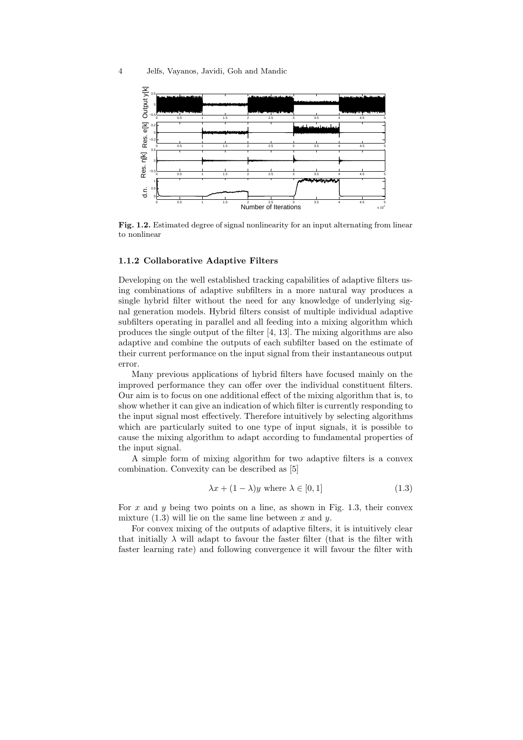

Fig. 1.2. Estimated degree of signal nonlinearity for an input alternating from linear to nonlinear

#### 1.1.2 Collaborative Adaptive Filters

Developing on the well established tracking capabilities of adaptive filters using combinations of adaptive subfilters in a more natural way produces a single hybrid filter without the need for any knowledge of underlying signal generation models. Hybrid filters consist of multiple individual adaptive subfilters operating in parallel and all feeding into a mixing algorithm which produces the single output of the filter [4, 13]. The mixing algorithms are also adaptive and combine the outputs of each subfilter based on the estimate of their current performance on the input signal from their instantaneous output error.

Many previous applications of hybrid filters have focused mainly on the improved performance they can offer over the individual constituent filters. Our aim is to focus on one additional effect of the mixing algorithm that is, to show whether it can give an indication of which filter is currently responding to the input signal most effectively. Therefore intuitively by selecting algorithms which are particularly suited to one type of input signals, it is possible to cause the mixing algorithm to adapt according to fundamental properties of the input signal.

A simple form of mixing algorithm for two adaptive filters is a convex combination. Convexity can be described as [5]

$$
\lambda x + (1 - \lambda)y \text{ where } \lambda \in [0, 1] \tag{1.3}
$$

For x and y being two points on a line, as shown in Fig. 1.3, their convex mixture  $(1.3)$  will lie on the same line between x and y.

For convex mixing of the outputs of adaptive filters, it is intuitively clear that initially  $\lambda$  will adapt to favour the faster filter (that is the filter with faster learning rate) and following convergence it will favour the filter with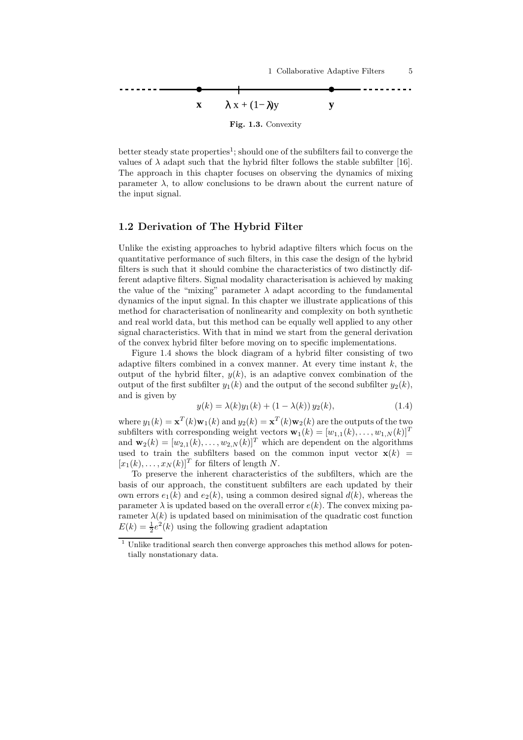

better steady state properties<sup>1</sup>; should one of the subfilters fail to converge the values of  $\lambda$  adapt such that the hybrid filter follows the stable subfilter [16]. The approach in this chapter focuses on observing the dynamics of mixing parameter  $\lambda$ , to allow conclusions to be drawn about the current nature of the input signal.

## 1.2 Derivation of The Hybrid Filter

Unlike the existing approaches to hybrid adaptive filters which focus on the quantitative performance of such filters, in this case the design of the hybrid filters is such that it should combine the characteristics of two distinctly different adaptive filters. Signal modality characterisation is achieved by making the value of the "mixing" parameter  $\lambda$  adapt according to the fundamental dynamics of the input signal. In this chapter we illustrate applications of this method for characterisation of nonlinearity and complexity on both synthetic and real world data, but this method can be equally well applied to any other signal characteristics. With that in mind we start from the general derivation of the convex hybrid filter before moving on to specific implementations.

Figure 1.4 shows the block diagram of a hybrid filter consisting of two adaptive filters combined in a convex manner. At every time instant  $k$ , the output of the hybrid filter,  $y(k)$ , is an adaptive convex combination of the output of the first subfilter  $y_1(k)$  and the output of the second subfilter  $y_2(k)$ , and is given by

$$
y(k) = \lambda(k)y_1(k) + (1 - \lambda(k))y_2(k),
$$
\n(1.4)

where  $y_1(k) = \mathbf{x}^T(k)\mathbf{w}_1(k)$  and  $y_2(k) = \mathbf{x}^T(k)\mathbf{w}_2(k)$  are the outputs of the two subfilters with corresponding weight vectors  $\mathbf{w}_1(k) = [w_{1,1}(k), \ldots, w_{1,N}(k)]^T$ and  $\mathbf{w}_2(k) = [w_{2,1}(k), \ldots, w_{2,N}(k)]^T$  which are dependent on the algorithms used to train the subfilters based on the common input vector  $\mathbf{x}(k)$  =  $[x_1(k), \ldots, x_N(k)]^T$  for filters of length N.

To preserve the inherent characteristics of the subfilters, which are the basis of our approach, the constituent subfilters are each updated by their own errors  $e_1(k)$  and  $e_2(k)$ , using a common desired signal  $d(k)$ , whereas the parameter  $\lambda$  is updated based on the overall error  $e(k)$ . The convex mixing parameter  $\lambda(k)$  is updated based on minimisation of the quadratic cost function  $E(k) = \frac{1}{2}e^2(k)$  using the following gradient adaptation

 $1$  Unlike traditional search then converge approaches this method allows for potentially nonstationary data.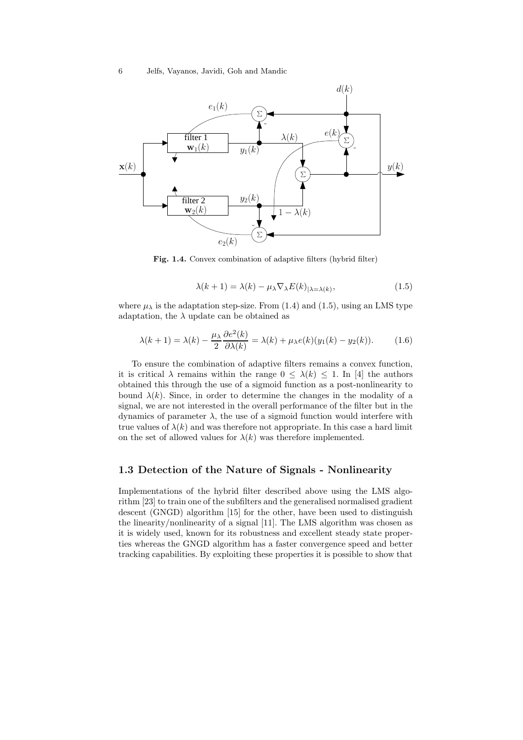

Fig. 1.4. Convex combination of adaptive filters (hybrid filter)

$$
\lambda(k+1) = \lambda(k) - \mu_{\lambda} \nabla_{\lambda} E(k)_{|\lambda = \lambda(k)},
$$
\n(1.5)

where  $\mu_{\lambda}$  is the adaptation step-size. From (1.4) and (1.5), using an LMS type adaptation, the  $\lambda$  update can be obtained as

$$
\lambda(k+1) = \lambda(k) - \frac{\mu_{\lambda}}{2} \frac{\partial e^2(k)}{\partial \lambda(k)} = \lambda(k) + \mu_{\lambda} e(k) (y_1(k) - y_2(k)). \tag{1.6}
$$

To ensure the combination of adaptive filters remains a convex function, it is critical  $\lambda$  remains within the range  $0 \leq \lambda(k) \leq 1$ . In [4] the authors obtained this through the use of a sigmoid function as a post-nonlinearity to bound  $\lambda(k)$ . Since, in order to determine the changes in the modality of a signal, we are not interested in the overall performance of the filter but in the dynamics of parameter  $\lambda$ , the use of a sigmoid function would interfere with true values of  $\lambda(k)$  and was therefore not appropriate. In this case a hard limit on the set of allowed values for  $\lambda(k)$  was therefore implemented.

## 1.3 Detection of the Nature of Signals - Nonlinearity

Implementations of the hybrid filter described above using the LMS algorithm [23] to train one of the subfilters and the generalised normalised gradient descent (GNGD) algorithm [15] for the other, have been used to distinguish the linearity/nonlinearity of a signal [11]. The LMS algorithm was chosen as it is widely used, known for its robustness and excellent steady state properties whereas the GNGD algorithm has a faster convergence speed and better tracking capabilities. By exploiting these properties it is possible to show that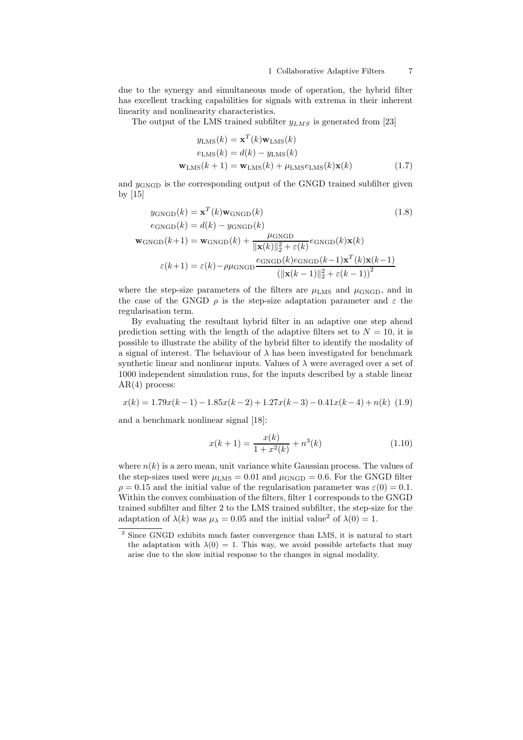due to the synergy and simultaneous mode of operation, the hybrid filter has excellent tracking capabilities for signals with extrema in their inherent linearity and nonlinearity characteristics.

The output of the LMS trained subfilter  $y_{LMS}$  is generated from [23]

$$
y_{\text{LMS}}(k) = \mathbf{x}^{T}(k)\mathbf{w}_{\text{LMS}}(k)
$$

$$
e_{\text{LMS}}(k) = d(k) - y_{\text{LMS}}(k)
$$

$$
\mathbf{w}_{\text{LMS}}(k+1) = \mathbf{w}_{\text{LMS}}(k) + \mu_{\text{LMS}}e_{\text{LMS}}(k)\mathbf{x}(k)
$$
(1.7)

and  $y_{\text{GNGD}}$  is the corresponding output of the GNGD trained subfilter given by [15]

$$
y_{\text{GNGD}}(k) = \mathbf{x}^{T}(k)\mathbf{w}_{\text{GNGD}}(k)
$$
(1.8)  
\n
$$
e_{\text{GNGD}}(k) = d(k) - y_{\text{GNGD}}(k)
$$
  
\n
$$
\mathbf{w}_{\text{GNGD}}(k+1) = \mathbf{w}_{\text{GNGD}}(k) + \frac{\mu_{\text{GNGD}}}{\|\mathbf{x}(k)\|_{2}^{2} + \varepsilon(k)} e_{\text{GNGD}}(k)\mathbf{x}(k)
$$
  
\n
$$
\varepsilon(k+1) = \varepsilon(k) - \rho\mu_{\text{GNGD}}\frac{e_{\text{GNGD}}(k)e_{\text{GNGD}}(k-1)\mathbf{x}^{T}(k)\mathbf{x}(k-1)}{(\|\mathbf{x}(k-1)\|_{2}^{2} + \varepsilon(k-1))^{2}}
$$

where the step-size parameters of the filters are  $\mu_{\rm LMS}$  and  $\mu_{\rm GNGD}$ , and in the case of the GNGD  $\rho$  is the step-size adaptation parameter and  $\varepsilon$  the regularisation term.

By evaluating the resultant hybrid filter in an adaptive one step ahead prediction setting with the length of the adaptive filters set to  $N = 10$ , it is possible to illustrate the ability of the hybrid filter to identify the modality of a signal of interest. The behaviour of  $\lambda$  has been investigated for benchmark synthetic linear and nonlinear inputs. Values of  $\lambda$  were averaged over a set of 1000 independent simulation runs, for the inputs described by a stable linear AR(4) process:

$$
x(k) = 1.79x(k-1) - 1.85x(k-2) + 1.27x(k-3) - 0.41x(k-4) + n(k) \tag{1.9}
$$

and a benchmark nonlinear signal [18]:

$$
x(k+1) = \frac{x(k)}{1+x^2(k)} + n^3(k)
$$
\n(1.10)

where  $n(k)$  is a zero mean, unit variance white Gaussian process. The values of the step-sizes used were  $\mu_{\rm LMS} = 0.01$  and  $\mu_{\rm GNGD} = 0.6$ . For the GNGD filter  $\rho = 0.15$  and the initial value of the regularisation parameter was  $\varepsilon(0) = 0.1$ . Within the convex combination of the filters, filter 1 corresponds to the GNGD trained subfilter and filter 2 to the LMS trained subfilter, the step-size for the adaptation of  $\lambda(k)$  was  $\mu_{\lambda} = 0.05$  and the initial value<sup>2</sup> of  $\lambda(0) = 1$ .

<sup>&</sup>lt;sup>2</sup> Since GNGD exhibits much faster convergence than LMS, it is natural to start the adaptation with  $\lambda(0) = 1$ . This way, we avoid possible artefacts that may arise due to the slow initial response to the changes in signal modality.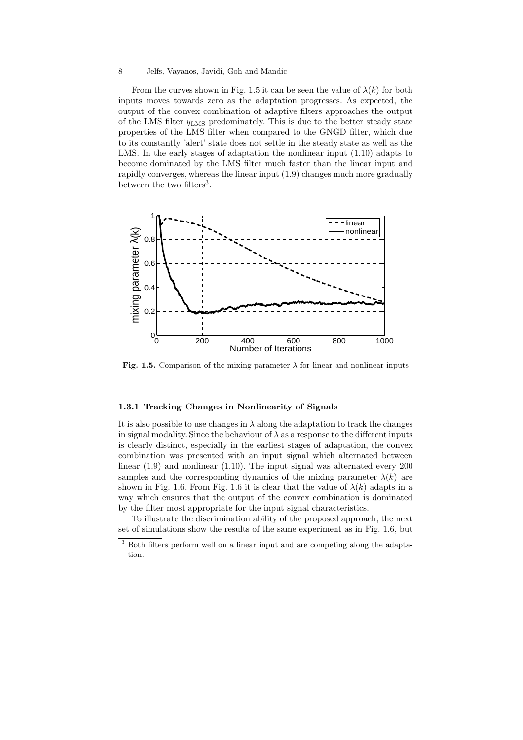From the curves shown in Fig. 1.5 it can be seen the value of  $\lambda(k)$  for both inputs moves towards zero as the adaptation progresses. As expected, the output of the convex combination of adaptive filters approaches the output of the LMS filter  $y_{\text{LMS}}$  predominately. This is due to the better steady state properties of the LMS filter when compared to the GNGD filter, which due to its constantly 'alert' state does not settle in the steady state as well as the LMS. In the early stages of adaptation the nonlinear input (1.10) adapts to become dominated by the LMS filter much faster than the linear input and rapidly converges, whereas the linear input (1.9) changes much more gradually between the two filters<sup>3</sup>.



Fig. 1.5. Comparison of the mixing parameter  $\lambda$  for linear and nonlinear inputs

#### 1.3.1 Tracking Changes in Nonlinearity of Signals

It is also possible to use changes in  $\lambda$  along the adaptation to track the changes in signal modality. Since the behaviour of  $\lambda$  as a response to the different inputs is clearly distinct, especially in the earliest stages of adaptation, the convex combination was presented with an input signal which alternated between linear (1.9) and nonlinear (1.10). The input signal was alternated every 200 samples and the corresponding dynamics of the mixing parameter  $\lambda(k)$  are shown in Fig. 1.6. From Fig. 1.6 it is clear that the value of  $\lambda(k)$  adapts in a way which ensures that the output of the convex combination is dominated by the filter most appropriate for the input signal characteristics.

To illustrate the discrimination ability of the proposed approach, the next set of simulations show the results of the same experiment as in Fig. 1.6, but

<sup>&</sup>lt;sup>3</sup> Both filters perform well on a linear input and are competing along the adaptation.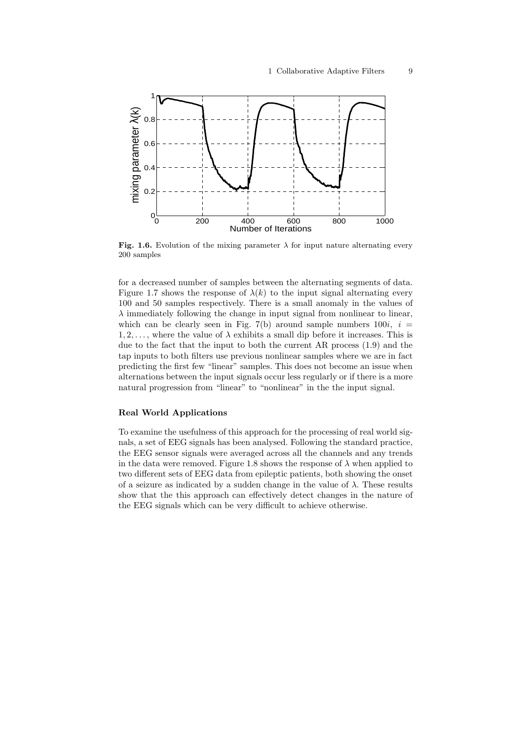

Fig. 1.6. Evolution of the mixing parameter  $\lambda$  for input nature alternating every 200 samples

for a decreased number of samples between the alternating segments of data. Figure 1.7 shows the response of  $\lambda(k)$  to the input signal alternating every 100 and 50 samples respectively. There is a small anomaly in the values of  $\lambda$  immediately following the change in input signal from nonlinear to linear, which can be clearly seen in Fig. 7(b) around sample numbers  $100i$ ,  $i =$  $1, 2, \ldots$ , where the value of  $\lambda$  exhibits a small dip before it increases. This is due to the fact that the input to both the current AR process (1.9) and the tap inputs to both filters use previous nonlinear samples where we are in fact predicting the first few "linear" samples. This does not become an issue when alternations between the input signals occur less regularly or if there is a more natural progression from "linear" to "nonlinear" in the the input signal.

#### Real World Applications

To examine the usefulness of this approach for the processing of real world signals, a set of EEG signals has been analysed. Following the standard practice, the EEG sensor signals were averaged across all the channels and any trends in the data were removed. Figure 1.8 shows the response of  $\lambda$  when applied to two different sets of EEG data from epileptic patients, both showing the onset of a seizure as indicated by a sudden change in the value of  $\lambda$ . These results show that the this approach can effectively detect changes in the nature of the EEG signals which can be very difficult to achieve otherwise.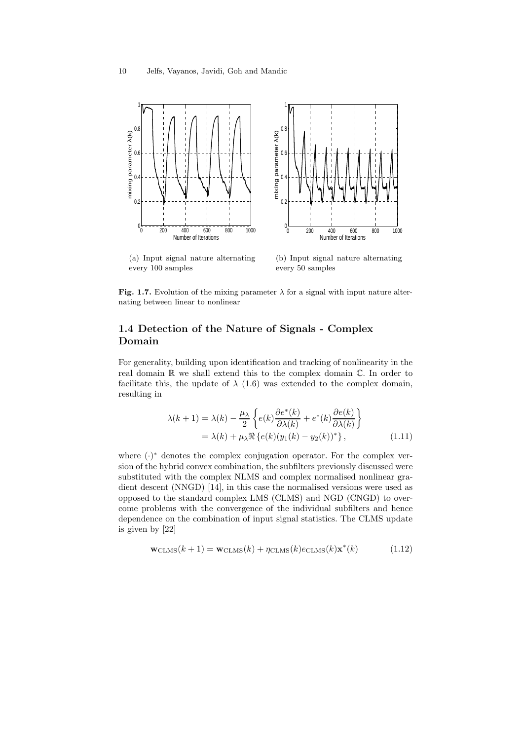

(a) Input signal nature alternating every 100 samples

(b) Input signal nature alternating every 50 samples

Fig. 1.7. Evolution of the mixing parameter  $\lambda$  for a signal with input nature alternating between linear to nonlinear

## 1.4 Detection of the Nature of Signals - Complex Domain

For generality, building upon identification and tracking of nonlinearity in the real domain R we shall extend this to the complex domain C. In order to facilitate this, the update of  $\lambda$  (1.6) was extended to the complex domain, resulting in

$$
\lambda(k+1) = \lambda(k) - \frac{\mu_{\lambda}}{2} \left\{ e(k) \frac{\partial e^*(k)}{\partial \lambda(k)} + e^*(k) \frac{\partial e(k)}{\partial \lambda(k)} \right\}
$$
  
=  $\lambda(k) + \mu_{\lambda} \Re \left\{ e(k) (y_1(k) - y_2(k))^* \right\},$  (1.11)

where  $(·)$ <sup>\*</sup> denotes the complex conjugation operator. For the complex version of the hybrid convex combination, the subfilters previously discussed were substituted with the complex NLMS and complex normalised nonlinear gradient descent (NNGD) [14], in this case the normalised versions were used as opposed to the standard complex LMS (CLMS) and NGD (CNGD) to overcome problems with the convergence of the individual subfilters and hence dependence on the combination of input signal statistics. The CLMS update is given by [22]

$$
\mathbf{w}_{\text{CLMS}}(k+1) = \mathbf{w}_{\text{CLMS}}(k) + \eta_{\text{CLMS}}(k)e_{\text{CLMS}}(k)\mathbf{x}^*(k)
$$
(1.12)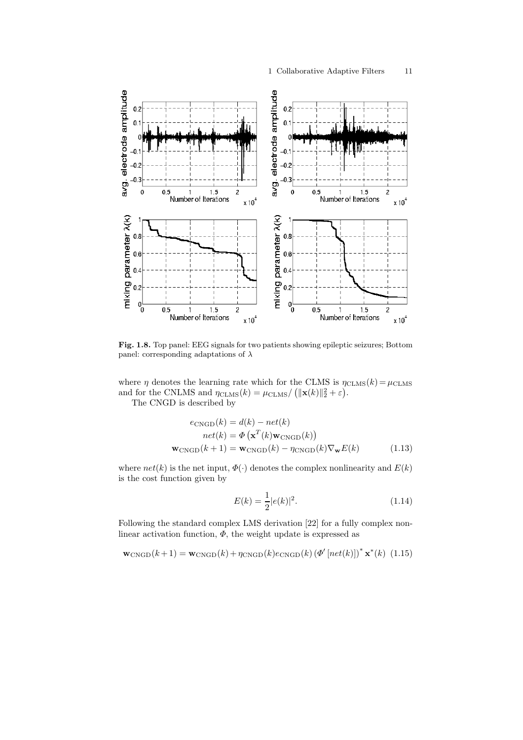

Fig. 1.8. Top panel: EEG signals for two patients showing epileptic seizures; Bottom panel: corresponding adaptations of  $\lambda$ 

where  $\eta$  denotes the learning rate which for the CLMS is  $\eta_{\text{CLMS}}(k) = \mu_{\text{CLMS}}$ and for the CNLMS and  $\eta_{\text{CLMS}}(k) = \mu_{\text{CLMS}} / (\|\mathbf{x}(k)\|_2^2 + \varepsilon).$ 

The CNGD is described by

$$
e_{\text{CNGD}}(k) = d(k) - net(k)
$$
  
net(k) =  $\Phi(\mathbf{x}^{T}(k)\mathbf{w}_{\text{CNGD}}(k))$   

$$
\mathbf{w}_{\text{CNGD}}(k+1) = \mathbf{w}_{\text{CNGD}}(k) - \eta_{\text{CNGD}}(k)\nabla_{\mathbf{w}}E(k)
$$
 (1.13)

where  $net(k)$  is the net input,  $\Phi(\cdot)$  denotes the complex nonlinearity and  $E(k)$ is the cost function given by

$$
E(k) = \frac{1}{2}|e(k)|^2.
$$
\n(1.14)

Following the standard complex LMS derivation [22] for a fully complex nonlinear activation function,  $\Phi$ , the weight update is expressed as

 $\mathbf{w}_{\text{CNGD}}(k+1) = \mathbf{w}_{\text{CNGD}}(k) + \eta_{\text{CNGD}}(k) e_{\text{CNGD}}(k) (\Phi' [net(k)])^* \mathbf{x}^*(k)$  (1.15)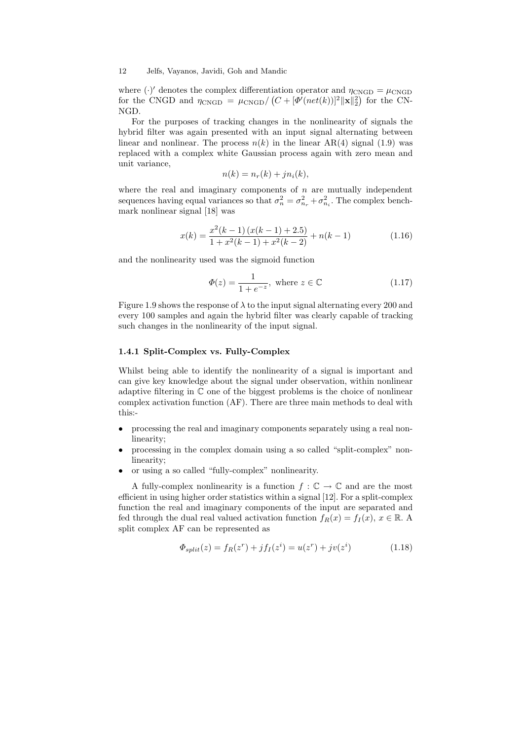where  $(\cdot)'$  denotes the complex differentiation operator and  $\eta_{\text{CNGD}} = \mu_{\text{CNGD}}$ for the CNGD and  $\eta_{\text{CNGD}} = \mu_{\text{CNGD}} / (C + [\Phi'(net(k))]^2 ||\mathbf{x}||_2^2)$  for the CN-NGD.

For the purposes of tracking changes in the nonlinearity of signals the hybrid filter was again presented with an input signal alternating between linear and nonlinear. The process  $n(k)$  in the linear AR(4) signal (1.9) was replaced with a complex white Gaussian process again with zero mean and unit variance,

$$
n(k) = n_r(k) + j n_i(k),
$$

where the real and imaginary components of  $n$  are mutually independent sequences having equal variances so that  $\sigma_n^2 = \sigma_{n_r}^2 + \sigma_{n_i}^2$ . The complex benchmark nonlinear signal [18] was

$$
x(k) = \frac{x^2(k-1)(x(k-1)+2.5)}{1+x^2(k-1)+x^2(k-2)} + n(k-1)
$$
\n(1.16)

and the nonlinearity used was the sigmoid function

$$
\Phi(z) = \frac{1}{1 + e^{-z}}, \text{ where } z \in \mathbb{C}
$$
\n(1.17)

Figure 1.9 shows the response of  $\lambda$  to the input signal alternating every 200 and every 100 samples and again the hybrid filter was clearly capable of tracking such changes in the nonlinearity of the input signal.

#### 1.4.1 Split-Complex vs. Fully-Complex

Whilst being able to identify the nonlinearity of a signal is important and can give key knowledge about the signal under observation, within nonlinear adaptive filtering in C one of the biggest problems is the choice of nonlinear complex activation function (AF). There are three main methods to deal with this:-

- processing the real and imaginary components separately using a real nonlinearity;
- processing in the complex domain using a so called "split-complex" nonlinearity;
- or using a so called "fully-complex" nonlinearity.

A fully-complex nonlinearity is a function  $f: \mathbb{C} \to \mathbb{C}$  and are the most efficient in using higher order statistics within a signal [12]. For a split-complex function the real and imaginary components of the input are separated and fed through the dual real valued activation function  $f_R(x) = f_I(x), x \in \mathbb{R}$ . A split complex AF can be represented as

$$
\Phi_{split}(z) = f_R(z^r) + j f_I(z^i) = u(z^r) + j v(z^i)
$$
\n(1.18)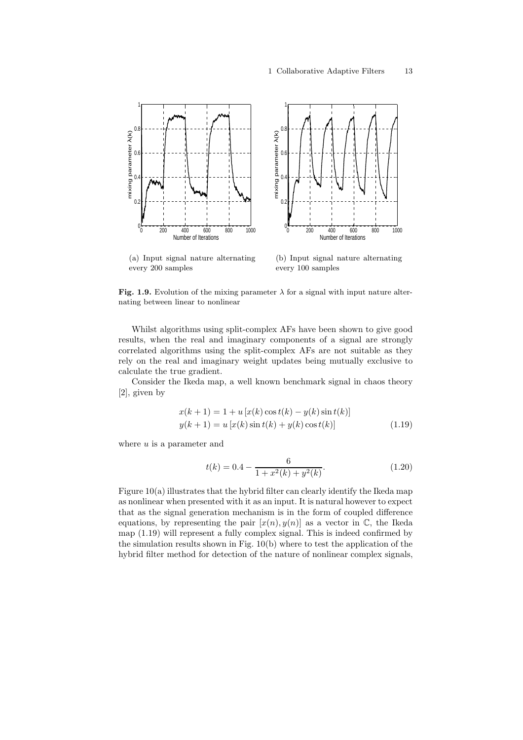

(a) Input signal nature alternating every 200 samples

(b) Input signal nature alternating every 100 samples

Fig. 1.9. Evolution of the mixing parameter  $\lambda$  for a signal with input nature alternating between linear to nonlinear

Whilst algorithms using split-complex AFs have been shown to give good results, when the real and imaginary components of a signal are strongly correlated algorithms using the split-complex AFs are not suitable as they rely on the real and imaginary weight updates being mutually exclusive to calculate the true gradient.

Consider the Ikeda map, a well known benchmark signal in chaos theory [2], given by

$$
x(k + 1) = 1 + u[x(k)\cos t(k) - y(k)\sin t(k)]
$$
  

$$
y(k + 1) = u[x(k)\sin t(k) + y(k)\cos t(k)]
$$
 (1.19)

where  $u$  is a parameter and

$$
t(k) = 0.4 - \frac{6}{1 + x^2(k) + y^2(k)}.\t(1.20)
$$

Figure 10(a) illustrates that the hybrid filter can clearly identify the Ikeda map as nonlinear when presented with it as an input. It is natural however to expect that as the signal generation mechanism is in the form of coupled difference equations, by representing the pair  $[x(n), y(n)]$  as a vector in  $\mathbb{C}$ , the Ikeda map (1.19) will represent a fully complex signal. This is indeed confirmed by the simulation results shown in Fig. 10(b) where to test the application of the hybrid filter method for detection of the nature of nonlinear complex signals,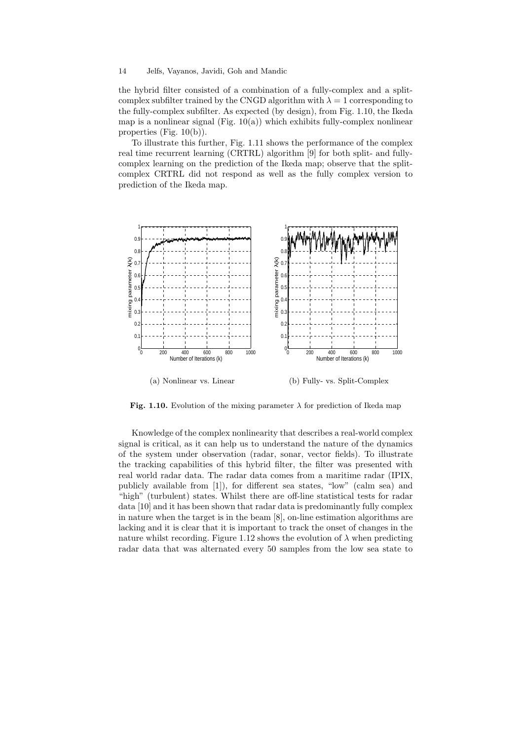the hybrid filter consisted of a combination of a fully-complex and a splitcomplex subfilter trained by the CNGD algorithm with  $\lambda = 1$  corresponding to the fully-complex subfilter. As expected (by design), from Fig. 1.10, the Ikeda map is a nonlinear signal (Fig.  $10(a)$ ) which exhibits fully-complex nonlinear properties (Fig. 10(b)).

To illustrate this further, Fig. 1.11 shows the performance of the complex real time recurrent learning (CRTRL) algorithm [9] for both split- and fullycomplex learning on the prediction of the Ikeda map; observe that the splitcomplex CRTRL did not respond as well as the fully complex version to prediction of the Ikeda map.



(a) Nonlinear vs. Linear (b) Fully- vs. Split-Complex

Fig. 1.10. Evolution of the mixing parameter  $\lambda$  for prediction of Ikeda map

Knowledge of the complex nonlinearity that describes a real-world complex signal is critical, as it can help us to understand the nature of the dynamics of the system under observation (radar, sonar, vector fields). To illustrate the tracking capabilities of this hybrid filter, the filter was presented with real world radar data. The radar data comes from a maritime radar (IPIX, publicly available from [1]), for different sea states, "low" (calm sea) and "high" (turbulent) states. Whilst there are off-line statistical tests for radar data [10] and it has been shown that radar data is predominantly fully complex in nature when the target is in the beam [8], on-line estimation algorithms are lacking and it is clear that it is important to track the onset of changes in the nature whilst recording. Figure 1.12 shows the evolution of  $\lambda$  when predicting radar data that was alternated every 50 samples from the low sea state to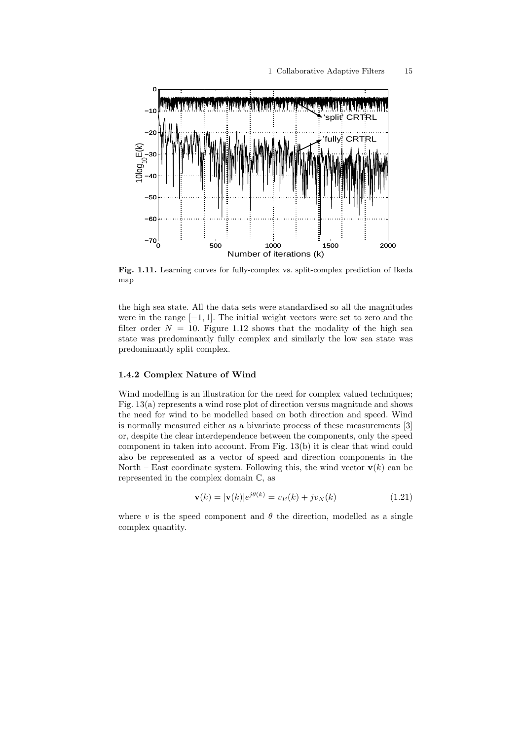

Fig. 1.11. Learning curves for fully-complex vs. split-complex prediction of Ikeda map

the high sea state. All the data sets were standardised so all the magnitudes were in the range  $[-1, 1]$ . The initial weight vectors were set to zero and the filter order  $N = 10$ . Figure 1.12 shows that the modality of the high sea state was predominantly fully complex and similarly the low sea state was predominantly split complex.

#### 1.4.2 Complex Nature of Wind

Wind modelling is an illustration for the need for complex valued techniques; Fig. 13(a) represents a wind rose plot of direction versus magnitude and shows the need for wind to be modelled based on both direction and speed. Wind is normally measured either as a bivariate process of these measurements [3] or, despite the clear interdependence between the components, only the speed component in taken into account. From Fig. 13(b) it is clear that wind could also be represented as a vector of speed and direction components in the North – East coordinate system. Following this, the wind vector  $\mathbf{v}(k)$  can be represented in the complex domain C, as

$$
\mathbf{v}(k) = |\mathbf{v}(k)|e^{j\theta(k)} = v_E(k) + jv_N(k)
$$
\n(1.21)

where v is the speed component and  $\theta$  the direction, modelled as a single complex quantity.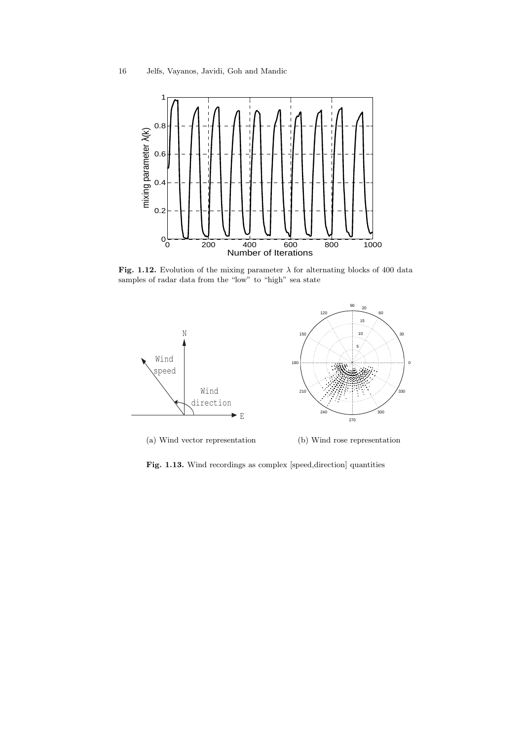

Fig. 1.12. Evolution of the mixing parameter  $\lambda$  for alternating blocks of 400 data samples of radar data from the "low" to "high" sea state



Fig. 1.13. Wind recordings as complex [speed,direction] quantities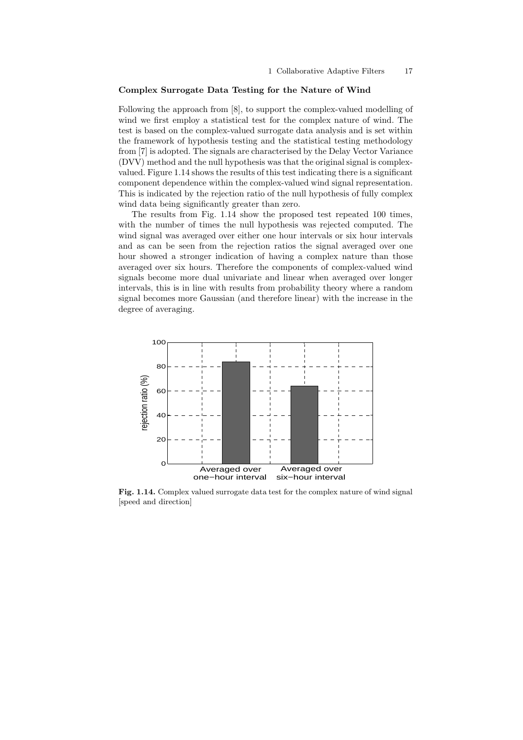#### Complex Surrogate Data Testing for the Nature of Wind

Following the approach from [8], to support the complex-valued modelling of wind we first employ a statistical test for the complex nature of wind. The test is based on the complex-valued surrogate data analysis and is set within the framework of hypothesis testing and the statistical testing methodology from [7] is adopted. The signals are characterised by the Delay Vector Variance (DVV) method and the null hypothesis was that the original signal is complexvalued. Figure 1.14 shows the results of this test indicating there is a significant component dependence within the complex-valued wind signal representation. This is indicated by the rejection ratio of the null hypothesis of fully complex wind data being significantly greater than zero.

The results from Fig. 1.14 show the proposed test repeated 100 times, with the number of times the null hypothesis was rejected computed. The wind signal was averaged over either one hour intervals or six hour intervals and as can be seen from the rejection ratios the signal averaged over one hour showed a stronger indication of having a complex nature than those averaged over six hours. Therefore the components of complex-valued wind signals become more dual univariate and linear when averaged over longer intervals, this is in line with results from probability theory where a random signal becomes more Gaussian (and therefore linear) with the increase in the degree of averaging.



Fig. 1.14. Complex valued surrogate data test for the complex nature of wind signal [speed and direction]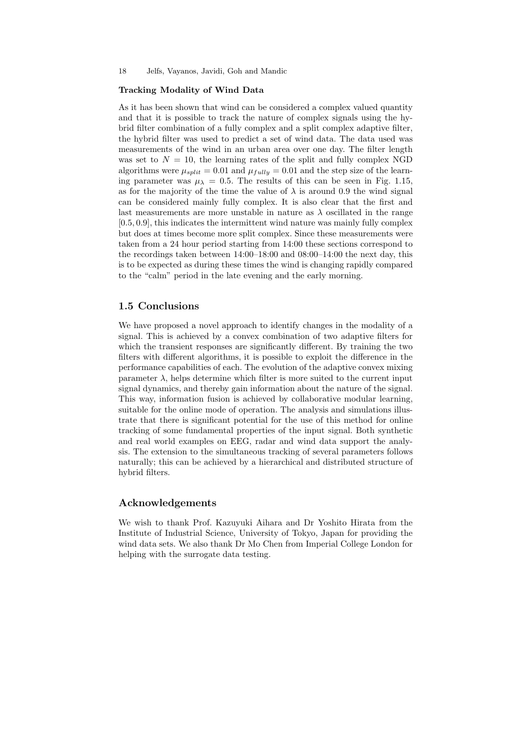#### Tracking Modality of Wind Data

As it has been shown that wind can be considered a complex valued quantity and that it is possible to track the nature of complex signals using the hybrid filter combination of a fully complex and a split complex adaptive filter, the hybrid filter was used to predict a set of wind data. The data used was measurements of the wind in an urban area over one day. The filter length was set to  $N = 10$ , the learning rates of the split and fully complex NGD algorithms were  $\mu_{split} = 0.01$  and  $\mu_{fully} = 0.01$  and the step size of the learning parameter was  $\mu_{\lambda} = 0.5$ . The results of this can be seen in Fig. 1.15, as for the majority of the time the value of  $\lambda$  is around 0.9 the wind signal can be considered mainly fully complex. It is also clear that the first and last measurements are more unstable in nature as  $\lambda$  oscillated in the range [0.5, 0.9], this indicates the intermittent wind nature was mainly fully complex but does at times become more split complex. Since these measurements were taken from a 24 hour period starting from 14:00 these sections correspond to the recordings taken between 14:00–18:00 and 08:00–14:00 the next day, this is to be expected as during these times the wind is changing rapidly compared to the "calm" period in the late evening and the early morning.

## 1.5 Conclusions

We have proposed a novel approach to identify changes in the modality of a signal. This is achieved by a convex combination of two adaptive filters for which the transient responses are significantly different. By training the two filters with different algorithms, it is possible to exploit the difference in the performance capabilities of each. The evolution of the adaptive convex mixing parameter  $\lambda$ , helps determine which filter is more suited to the current input signal dynamics, and thereby gain information about the nature of the signal. This way, information fusion is achieved by collaborative modular learning, suitable for the online mode of operation. The analysis and simulations illustrate that there is significant potential for the use of this method for online tracking of some fundamental properties of the input signal. Both synthetic and real world examples on EEG, radar and wind data support the analysis. The extension to the simultaneous tracking of several parameters follows naturally; this can be achieved by a hierarchical and distributed structure of hybrid filters.

## Acknowledgements

We wish to thank Prof. Kazuyuki Aihara and Dr Yoshito Hirata from the Institute of Industrial Science, University of Tokyo, Japan for providing the wind data sets. We also thank Dr Mo Chen from Imperial College London for helping with the surrogate data testing.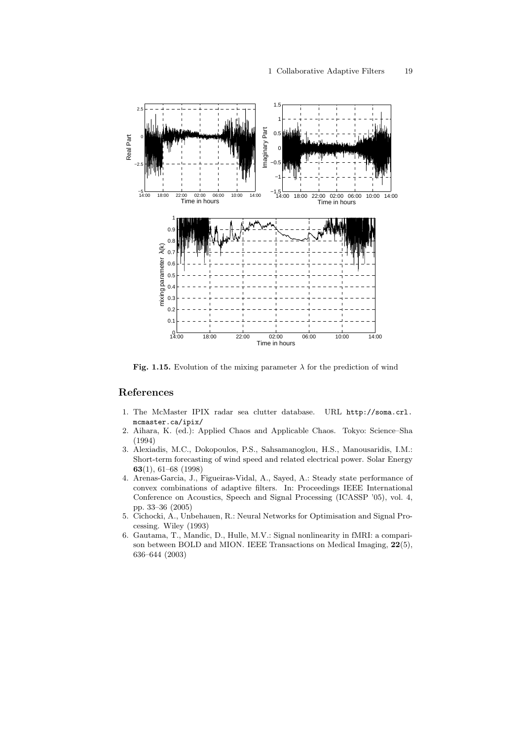

Fig. 1.15. Evolution of the mixing parameter  $\lambda$  for the prediction of wind

## References

- 1. The McMaster IPIX radar sea clutter database. URL http://soma.crl. mcmaster.ca/ipix/
- 2. Aihara, K. (ed.): Applied Chaos and Applicable Chaos. Tokyo: Science–Sha (1994)
- 3. Alexiadis, M.C., Dokopoulos, P.S., Sahsamanoglou, H.S., Manousaridis, I.M.: Short-term forecasting of wind speed and related electrical power. Solar Energy 63(1), 61–68 (1998)
- 4. Arenas-Garcia, J., Figueiras-Vidal, A., Sayed, A.: Steady state performance of convex combinations of adaptive filters. In: Proceedings IEEE International Conference on Acoustics, Speech and Signal Processing (ICASSP '05), vol. 4, pp. 33–36 (2005)
- 5. Cichocki, A., Unbehauen, R.: Neural Networks for Optimisation and Signal Processing. Wiley (1993)
- 6. Gautama, T., Mandic, D., Hulle, M.V.: Signal nonlinearity in fMRI: a comparison between BOLD and MION. IEEE Transactions on Medical Imaging, 22(5), 636–644 (2003)